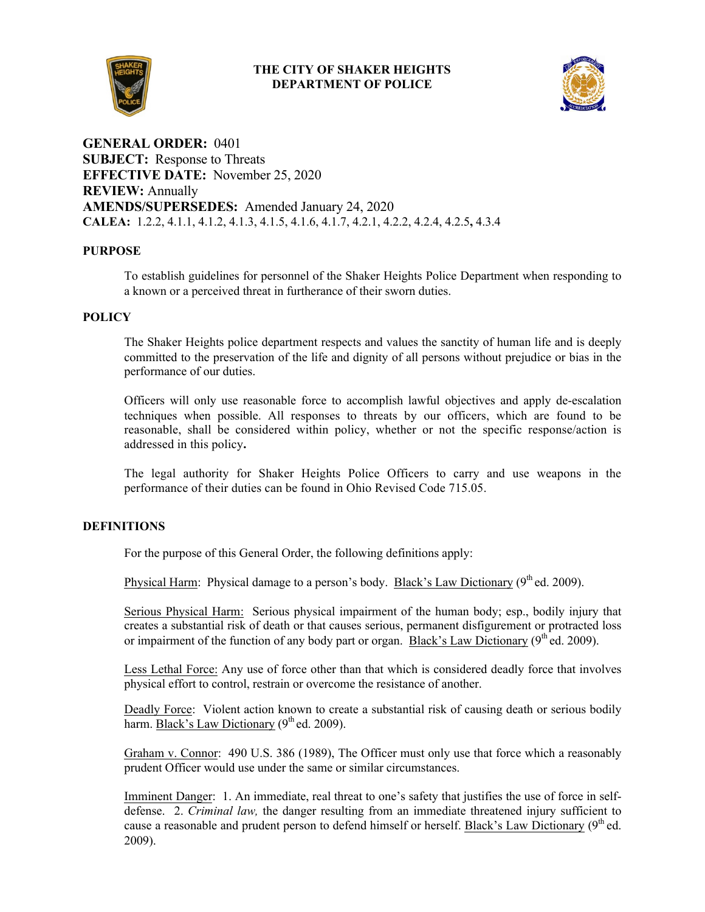## **THE CITY OF SHAKER HEIGHTS DEPARTMENT OF POLICE**



**GENERAL ORDER:** 0401 **SUBJECT:** Response to Threats **EFFECTIVE DATE:** November 25, 2020 **REVIEW:** Annually **AMENDS/SUPERSEDES:** Amended January 24, 2020 **CALEA:** 1.2.2, 4.1.1, 4.1.2, 4.1.3, 4.1.5, 4.1.6, 4.1.7, 4.2.1, 4.2.2, 4.2.4, 4.2.5**,** 4.3.4

# **PURPOSE**

To establish guidelines for personnel of the Shaker Heights Police Department when responding to a known or a perceived threat in furtherance of their sworn duties.

## **POLICY**

The Shaker Heights police department respects and values the sanctity of human life and is deeply committed to the preservation of the life and dignity of all persons without prejudice or bias in the performance of our duties.

Officers will only use reasonable force to accomplish lawful objectives and apply de-escalation techniques when possible. All responses to threats by our officers, which are found to be reasonable, shall be considered within policy, whether or not the specific response/action is addressed in this policy**.** 

The legal authority for Shaker Heights Police Officers to carry and use weapons in the performance of their duties can be found in Ohio Revised Code 715.05.

## **DEFINITIONS**

For the purpose of this General Order, the following definitions apply:

Physical Harm: Physical damage to a person's body. Black's Law Dictionary (9<sup>th</sup> ed. 2009).

Serious Physical Harm: Serious physical impairment of the human body; esp., bodily injury that creates a substantial risk of death or that causes serious, permanent disfigurement or protracted loss or impairment of the function of any body part or organ. Black's Law Dictionary  $(9<sup>th</sup>$ ed. 2009).

Less Lethal Force: Any use of force other than that which is considered deadly force that involves physical effort to control, restrain or overcome the resistance of another.

Deadly Force: Violent action known to create a substantial risk of causing death or serious bodily harm. Black's Law Dictionary  $(9<sup>th</sup>$ ed. 2009).

Graham v. Connor: 490 U.S. 386 (1989), The Officer must only use that force which a reasonably prudent Officer would use under the same or similar circumstances.

Imminent Danger: 1. An immediate, real threat to one's safety that justifies the use of force in selfdefense. 2. *Criminal law,* the danger resulting from an immediate threatened injury sufficient to cause a reasonable and prudent person to defend himself or herself. Black's Law Dictionary  $(9<sup>th</sup>$ ed. 2009).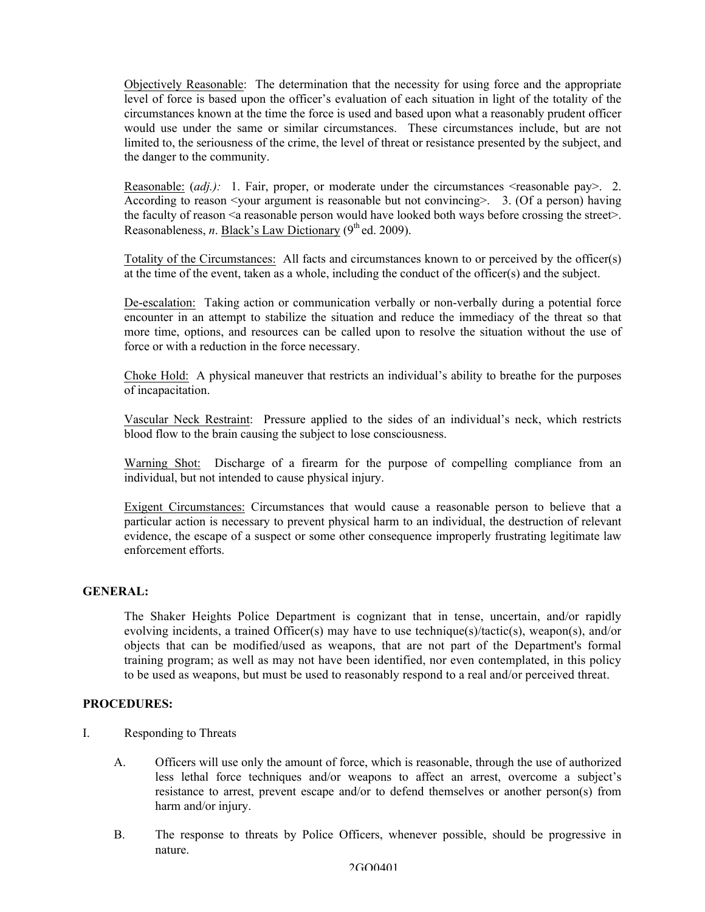Objectively Reasonable: The determination that the necessity for using force and the appropriate level of force is based upon the officer's evaluation of each situation in light of the totality of the circumstances known at the time the force is used and based upon what a reasonably prudent officer would use under the same or similar circumstances. These circumstances include, but are not limited to, the seriousness of the crime, the level of threat or resistance presented by the subject, and the danger to the community.

Reasonable: *(adj.):* 1. Fair, proper, or moderate under the circumstances  $\le$  reasonable pay > 2. According to reason  $\leq$ your argument is reasonable but not convincing  $\geq$ . 3. (Of a person) having the faculty of reason  $\leq a$  reasonable person would have looked both ways before crossing the street $\geq$ . Reasonableness, *n*. Black's Law Dictionary (9<sup>th</sup> ed. 2009).

Totality of the Circumstances: All facts and circumstances known to or perceived by the officer(s) at the time of the event, taken as a whole, including the conduct of the officer(s) and the subject.

De-escalation: Taking action or communication verbally or non-verbally during a potential force encounter in an attempt to stabilize the situation and reduce the immediacy of the threat so that more time, options, and resources can be called upon to resolve the situation without the use of force or with a reduction in the force necessary.

Choke Hold: A physical maneuver that restricts an individual's ability to breathe for the purposes of incapacitation.

Vascular Neck Restraint: Pressure applied to the sides of an individual's neck, which restricts blood flow to the brain causing the subject to lose consciousness.

Warning Shot: Discharge of a firearm for the purpose of compelling compliance from an individual, but not intended to cause physical injury.

Exigent Circumstances: Circumstances that would cause a reasonable person to believe that a particular action is necessary to prevent physical harm to an individual, the destruction of relevant evidence, the escape of a suspect or some other consequence improperly frustrating legitimate law enforcement efforts.

#### **GENERAL:**

The Shaker Heights Police Department is cognizant that in tense, uncertain, and/or rapidly evolving incidents, a trained Officer(s) may have to use technique(s)/tactic(s), weapon(s), and/or objects that can be modified/used as weapons, that are not part of the Department's formal training program; as well as may not have been identified, nor even contemplated, in this policy to be used as weapons, but must be used to reasonably respond to a real and/or perceived threat.

#### **PROCEDURES:**

- I. Responding to Threats
	- A. Officers will use only the amount of force, which is reasonable, through the use of authorized less lethal force techniques and/or weapons to affect an arrest, overcome a subject's resistance to arrest, prevent escape and/or to defend themselves or another person(s) from harm and/or injury.
	- B. The response to threats by Police Officers, whenever possible, should be progressive in nature.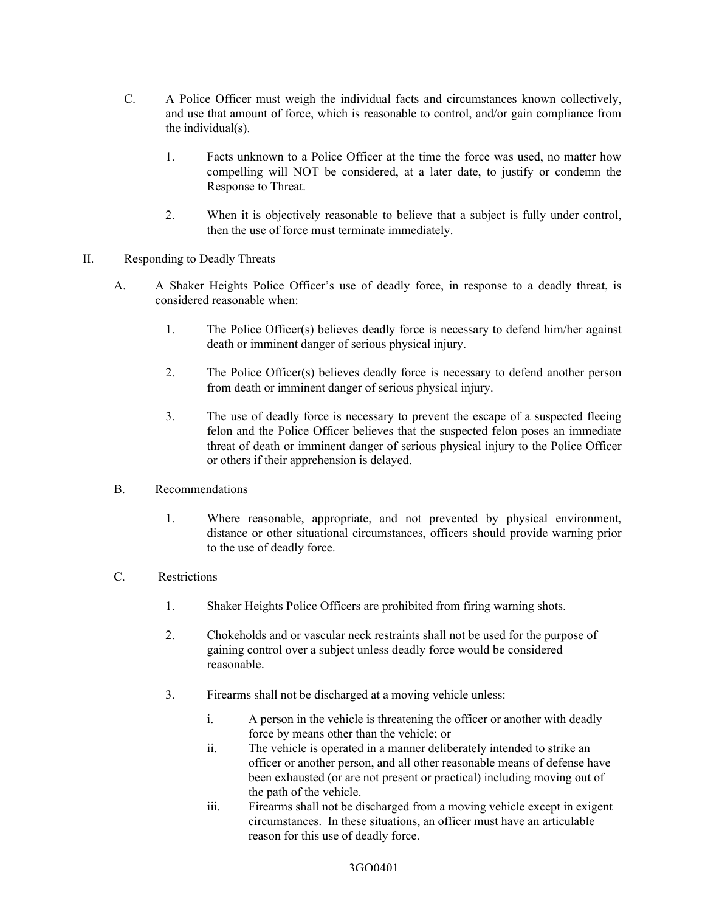- C. A Police Officer must weigh the individual facts and circumstances known collectively, and use that amount of force, which is reasonable to control, and/or gain compliance from the individual(s).
	- 1. Facts unknown to a Police Officer at the time the force was used, no matter how compelling will NOT be considered, at a later date, to justify or condemn the Response to Threat.
	- 2. When it is objectively reasonable to believe that a subject is fully under control, then the use of force must terminate immediately.
- II. Responding to Deadly Threats
	- A. A Shaker Heights Police Officer's use of deadly force, in response to a deadly threat, is considered reasonable when:
		- 1. The Police Officer(s) believes deadly force is necessary to defend him/her against death or imminent danger of serious physical injury.
		- 2. The Police Officer(s) believes deadly force is necessary to defend another person from death or imminent danger of serious physical injury.
		- 3. The use of deadly force is necessary to prevent the escape of a suspected fleeing felon and the Police Officer believes that the suspected felon poses an immediate threat of death or imminent danger of serious physical injury to the Police Officer or others if their apprehension is delayed.
	- B. Recommendations
		- 1. Where reasonable, appropriate, and not prevented by physical environment, distance or other situational circumstances, officers should provide warning prior to the use of deadly force.
	- C. Restrictions
		- 1. Shaker Heights Police Officers are prohibited from firing warning shots.
		- 2. Chokeholds and or vascular neck restraints shall not be used for the purpose of gaining control over a subject unless deadly force would be considered reasonable.
		- 3. Firearms shall not be discharged at a moving vehicle unless:
			- i. A person in the vehicle is threatening the officer or another with deadly force by means other than the vehicle; or
			- ii. The vehicle is operated in a manner deliberately intended to strike an officer or another person, and all other reasonable means of defense have been exhausted (or are not present or practical) including moving out of the path of the vehicle.
			- iii. Firearms shall not be discharged from a moving vehicle except in exigent circumstances. In these situations, an officer must have an articulable reason for this use of deadly force.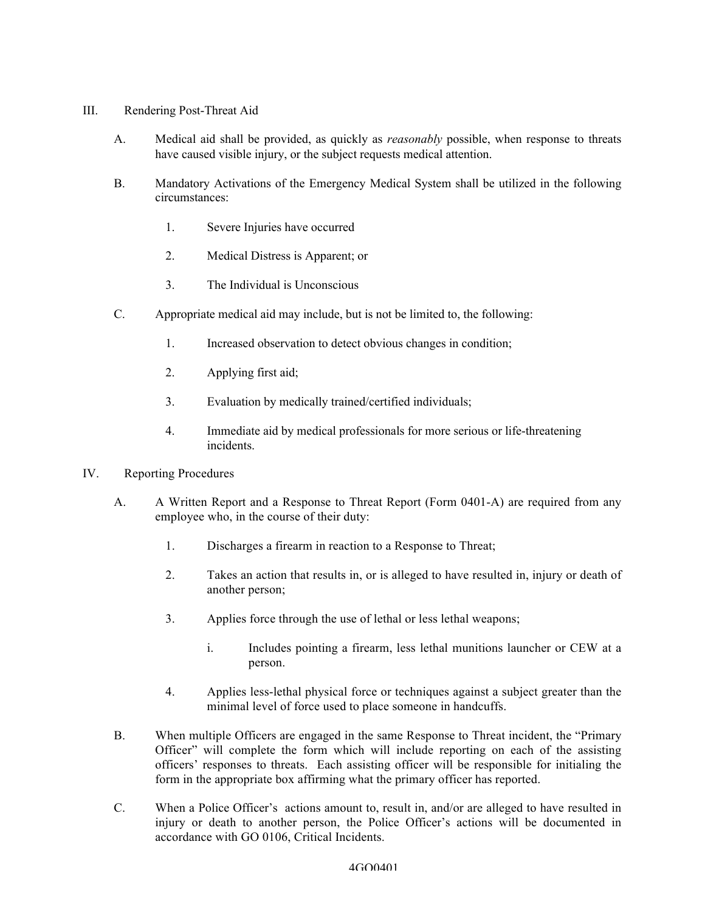- III. Rendering Post-Threat Aid
	- A. Medical aid shall be provided, as quickly as *reasonably* possible, when response to threats have caused visible injury, or the subject requests medical attention.
	- B. Mandatory Activations of the Emergency Medical System shall be utilized in the following circumstances:
		- 1. Severe Injuries have occurred
		- 2. Medical Distress is Apparent; or
		- 3. The Individual is Unconscious
	- C. Appropriate medical aid may include, but is not be limited to, the following:
		- 1. Increased observation to detect obvious changes in condition;
		- 2. Applying first aid;
		- 3. Evaluation by medically trained/certified individuals;
		- 4. Immediate aid by medical professionals for more serious or life-threatening incidents.
- IV. Reporting Procedures
	- A. A Written Report and a Response to Threat Report (Form 0401-A) are required from any employee who, in the course of their duty:
		- 1. Discharges a firearm in reaction to a Response to Threat;
		- 2. Takes an action that results in, or is alleged to have resulted in, injury or death of another person;
		- 3. Applies force through the use of lethal or less lethal weapons;
			- i. Includes pointing a firearm, less lethal munitions launcher or CEW at a person.
		- 4. Applies less-lethal physical force or techniques against a subject greater than the minimal level of force used to place someone in handcuffs.
	- B. When multiple Officers are engaged in the same Response to Threat incident, the "Primary Officer" will complete the form which will include reporting on each of the assisting officers' responses to threats. Each assisting officer will be responsible for initialing the form in the appropriate box affirming what the primary officer has reported.
	- C. When a Police Officer's actions amount to, result in, and/or are alleged to have resulted in injury or death to another person, the Police Officer's actions will be documented in accordance with GO 0106, Critical Incidents.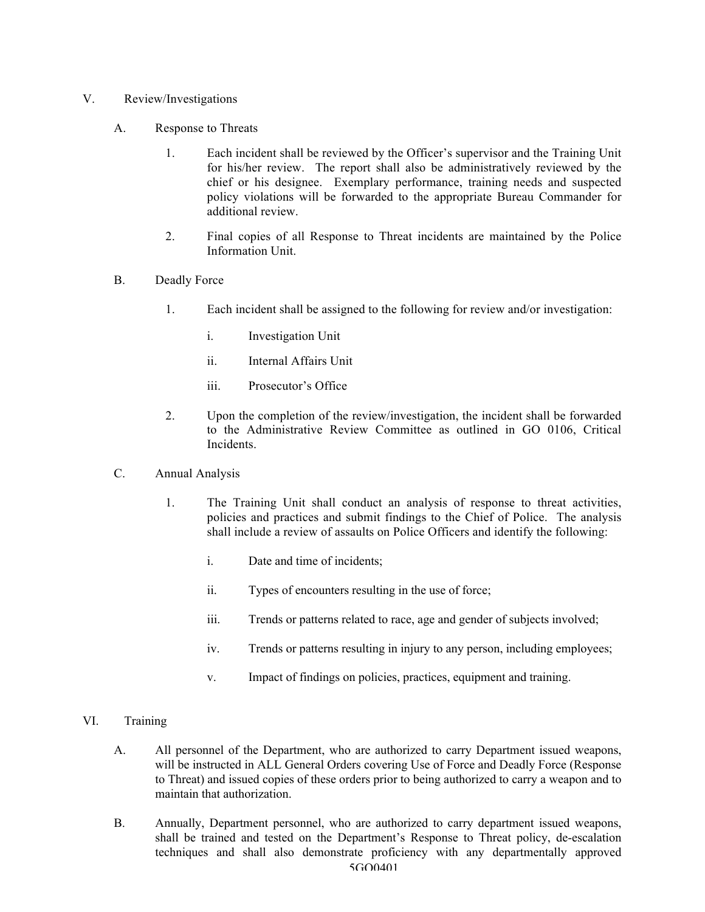- V. Review/Investigations
	- A. Response to Threats
		- 1. Each incident shall be reviewed by the Officer's supervisor and the Training Unit for his/her review. The report shall also be administratively reviewed by the chief or his designee. Exemplary performance, training needs and suspected policy violations will be forwarded to the appropriate Bureau Commander for additional review.
		- 2. Final copies of all Response to Threat incidents are maintained by the Police Information Unit.
	- B. Deadly Force
		- 1. Each incident shall be assigned to the following for review and/or investigation:
			- i. Investigation Unit
			- ii. Internal Affairs Unit
			- iii. Prosecutor's Office
		- 2. Upon the completion of the review/investigation, the incident shall be forwarded to the Administrative Review Committee as outlined in GO 0106, Critical **Incidents**
	- C. Annual Analysis
		- 1. The Training Unit shall conduct an analysis of response to threat activities, policies and practices and submit findings to the Chief of Police. The analysis shall include a review of assaults on Police Officers and identify the following:
			- i. Date and time of incidents;
			- ii. Types of encounters resulting in the use of force;
			- iii. Trends or patterns related to race, age and gender of subjects involved;
			- iv. Trends or patterns resulting in injury to any person, including employees;
			- v. Impact of findings on policies, practices, equipment and training.
- VI. Training
	- A. All personnel of the Department, who are authorized to carry Department issued weapons, will be instructed in ALL General Orders covering Use of Force and Deadly Force (Response to Threat) and issued copies of these orders prior to being authorized to carry a weapon and to maintain that authorization.
	- 5GO0401 B. Annually, Department personnel, who are authorized to carry department issued weapons, shall be trained and tested on the Department's Response to Threat policy, de-escalation techniques and shall also demonstrate proficiency with any departmentally approved